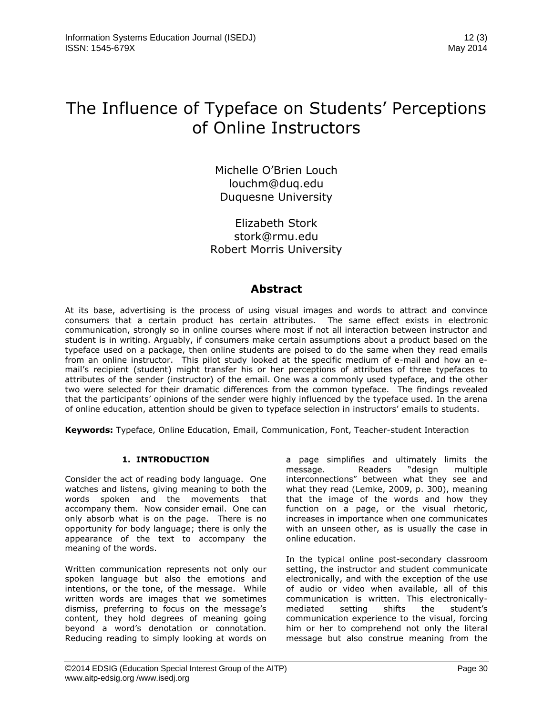# The Influence of Typeface on Students' Perceptions of Online Instructors

Michelle O'Brien Louch [louchm@duq.edu](mailto:louchm@duq.edu) Duquesne University

Elizabeth Stork stork@rmu.edu Robert Morris University

# **Abstract**

At its base, advertising is the process of using visual images and words to attract and convince consumers that a certain product has certain attributes. The same effect exists in electronic communication, strongly so in online courses where most if not all interaction between instructor and student is in writing. Arguably, if consumers make certain assumptions about a product based on the typeface used on a package, then online students are poised to do the same when they read emails from an online instructor. This pilot study looked at the specific medium of e-mail and how an email's recipient (student) might transfer his or her perceptions of attributes of three typefaces to attributes of the sender (instructor) of the email. One was a commonly used typeface, and the other two were selected for their dramatic differences from the common typeface. The findings revealed that the participants' opinions of the sender were highly influenced by the typeface used. In the arena of online education, attention should be given to typeface selection in instructors' emails to students.

**Keywords:** Typeface, Online Education, Email, Communication, Font, Teacher-student Interaction

# **1. INTRODUCTION**

Consider the act of reading body language. One watches and listens, giving meaning to both the words spoken and the movements that accompany them. Now consider email. One can only absorb what is on the page. There is no opportunity for body language; there is only the appearance of the text to accompany the meaning of the words.

Written communication represents not only our spoken language but also the emotions and intentions, or the tone, of the message. While written words are images that we sometimes dismiss, preferring to focus on the message's content, they hold degrees of meaning going beyond a word's denotation or connotation. Reducing reading to simply looking at words on a page simplifies and ultimately limits the message. Readers "design multiple interconnections" between what they see and what they read (Lemke, 2009, p. 300), meaning that the image of the words and how they function on a page, or the visual rhetoric, increases in importance when one communicates with an unseen other, as is usually the case in online education.

In the typical online post-secondary classroom setting, the instructor and student communicate electronically, and with the exception of the use of audio or video when available, all of this communication is written. This electronicallymediated setting shifts the student's communication experience to the visual, forcing him or her to comprehend not only the literal message but also construe meaning from the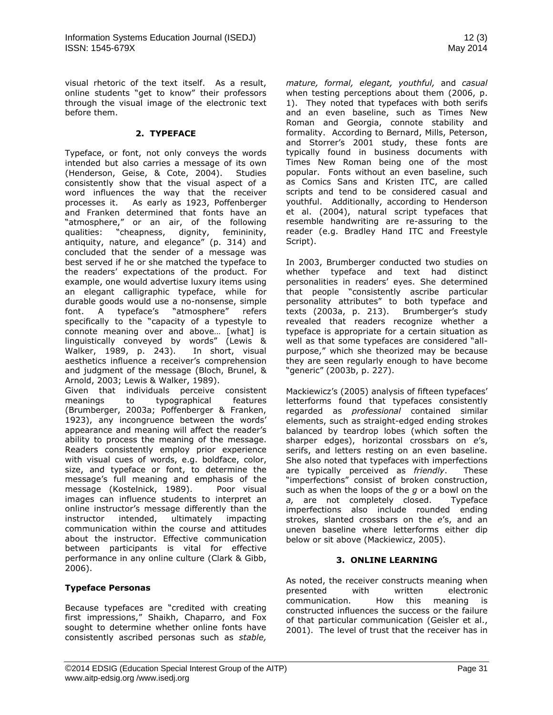visual rhetoric of the text itself. As a result, online students "get to know" their professors through the visual image of the electronic text before them.

#### **2. TYPEFACE**

Typeface, or font, not only conveys the words intended but also carries a message of its own (Henderson, Geise, & Cote, 2004). Studies consistently show that the visual aspect of a word influences the way that the receiver processes it. As early as 1923, Poffenberger and Franken determined that fonts have an "atmosphere," or an air, of the following qualities: "cheapness, dignity, femininity, antiquity, nature, and elegance" (p. 314) and concluded that the sender of a message was best served if he or she matched the typeface to the readers' expectations of the product. For example, one would advertise luxury items using an elegant calligraphic typeface, while for durable goods would use a no-nonsense, simple font. A typeface's "atmosphere" refers specifically to the "capacity of a typestyle to connote meaning over and above… [what] is linguistically conveyed by words" (Lewis & Walker, 1989, p. 243). In short, visual aesthetics influence a receiver's comprehension and judgment of the message (Bloch, Brunel, & Arnold, 2003; Lewis & Walker, 1989).

Given that individuals perceive consistent meanings to typographical features (Brumberger, 2003a; Poffenberger & Franken, 1923), any incongruence between the words' appearance and meaning will affect the reader's ability to process the meaning of the message. Readers consistently employ prior experience with visual cues of words, e.g. boldface, color, size, and typeface or font, to determine the message's full meaning and emphasis of the message (Kostelnick, 1989). Poor visual images can influence students to interpret an online instructor's message differently than the instructor intended, ultimately impacting communication within the course and attitudes about the instructor. Effective communication between participants is vital for effective performance in any online culture (Clark & Gibb, 2006).

# **Typeface Personas**

Because typefaces are "credited with creating first impressions," Shaikh, Chaparro, and Fox sought to determine whether online fonts have consistently ascribed personas such as *stable,* 

*mature, formal, elegant, youthful,* and *casual*  when testing perceptions about them (2006, p. 1).They noted that typefaces with both serifs and an even baseline, such as Times New Roman and Georgia, connote stability and formality. According to Bernard, Mills, Peterson, and Storrer's 2001 study, these fonts are typically found in business documents with Times New Roman being one of the most popular. Fonts without an even baseline, such as Comics Sans and Kristen ITC, are called scripts and tend to be considered casual and youthful. Additionally, according to Henderson et al. (2004), natural script typefaces that resemble handwriting are re-assuring to the reader (e.g. Bradley Hand ITC and Freestyle Script).

In 2003, Brumberger conducted two studies on whether typeface and text had distinct personalities in readers' eyes. She determined that people "consistently ascribe particular personality attributes" to both typeface and texts (2003a, p. 213). Brumberger's study revealed that readers recognize whether a typeface is appropriate for a certain situation as well as that some typefaces are considered "allpurpose," which she theorized may be because they are seen regularly enough to have become "generic" (2003b, p. 227).

Mackiewicz's (2005) analysis of fifteen typefaces' letterforms found that typefaces consistently regarded as *professional* contained similar elements, such as straight-edged ending strokes balanced by teardrop lobes (which soften the sharper edges), horizontal crossbars on *e*'s, serifs, and letters resting on an even baseline. She also noted that typefaces with imperfections are typically perceived as *friendly*. These "imperfections" consist of broken construction, such as when the loops of the *g* or a bowl on the *a,* are not completely closed. Typeface imperfections also include rounded ending strokes, slanted crossbars on the *e*'s, and an uneven baseline where letterforms either dip below or sit above (Mackiewicz, 2005).

# **3. ONLINE LEARNING**

As noted, the receiver constructs meaning when presented with written electronic communication. How this meaning is constructed influences the success or the failure of that particular communication (Geisler et al., 2001). The level of trust that the receiver has in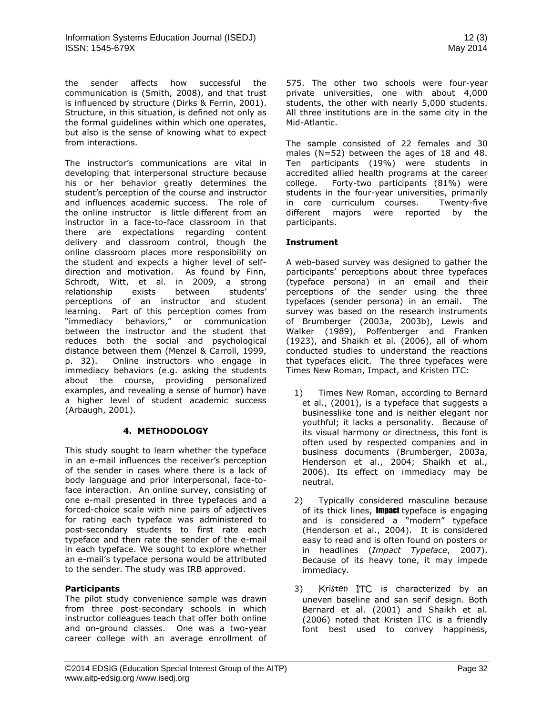the sender affects how successful the communication is (Smith, 2008), and that trust is influenced by structure (Dirks & Ferrin, 2001). Structure, in this situation, is defined not only as the formal guidelines within which one operates, but also is the sense of knowing what to expect from interactions.

The instructor's communications are vital in developing that interpersonal structure because his or her behavior greatly determines the student's perception of the course and instructor and influences academic success. The role of the online instructor is little different from an instructor in a face-to-face classroom in that there are expectations regarding content delivery and classroom control, though the online classroom places more responsibility on the student and expects a higher level of selfdirection and motivation. As found by Finn, Schrodt, Witt, et al. in 2009, a strong relationship exists between students' perceptions of an instructor and student learning. Part of this perception comes from "immediacy behaviors," or communication between the instructor and the student that reduces both the social and psychological distance between them (Menzel & Carroll, 1999, p. 32). Online instructors who engage in immediacy behaviors (e.g. asking the students about the course, providing personalized examples, and revealing a sense of humor) have a higher level of student academic success (Arbaugh, 2001).

# **4. METHODOLOGY**

This study sought to learn whether the typeface in an e-mail influences the receiver's perception of the sender in cases where there is a lack of body language and prior interpersonal, face-toface interaction. An online survey, consisting of one e-mail presented in three typefaces and a forced-choice scale with nine pairs of adjectives for rating each typeface was administered to post-secondary students to first rate each typeface and then rate the sender of the e-mail in each typeface. We sought to explore whether an e-mail's typeface persona would be attributed to the sender. The study was IRB approved.

# **Participants**

The pilot study convenience sample was drawn from three post-secondary schools in which instructor colleagues teach that offer both online and on-ground classes. One was a two-year career college with an average enrollment of

575. The other two schools were four-year private universities, one with about 4,000 students, the other with nearly 5,000 students. All three institutions are in the same city in the Mid-Atlantic.

The sample consisted of 22 females and 30 males (N=52) between the ages of 18 and 48. Ten participants (19%) were students in accredited allied health programs at the career college. Forty-two participants (81%) were students in the four-year universities, primarily in core curriculum courses. Twenty-five different majors were reported by the participants.

#### **Instrument**

A web-based survey was designed to gather the participants' perceptions about three typefaces (typeface persona) in an email and their perceptions of the sender using the three typefaces (sender persona) in an email. The survey was based on the research instruments of Brumberger (2003a, 2003b), Lewis and Walker (1989), Poffenberger and Franken (1923), and Shaikh et al. (2006), all of whom conducted studies to understand the reactions that typefaces elicit. The three typefaces were Times New Roman, Impact, and Kristen ITC:

- 1) Times New Roman, according to Bernard et al., (2001), is a typeface that suggests a businesslike tone and is neither elegant nor youthful; it lacks a personality. Because of its visual harmony or directness, this font is often used by respected companies and in business documents (Brumberger, 2003a, Henderson et al., 2004; Shaikh et al., 2006). Its effect on immediacy may be neutral.
- 2) Typically considered masculine because of its thick lines, Impact typeface is engaging and is considered a "modern" typeface (Henderson et al., 2004). It is considered easy to read and is often found on posters or in headlines (*Impact Typeface*, 2007). Because of its heavy tone, it may impede immediacy.
- 3) Kristen ITC is characterized by an uneven baseline and san serif design. Both Bernard et al. (2001) and Shaikh et al. (2006) noted that Kristen ITC is a friendly font best used to convey happiness,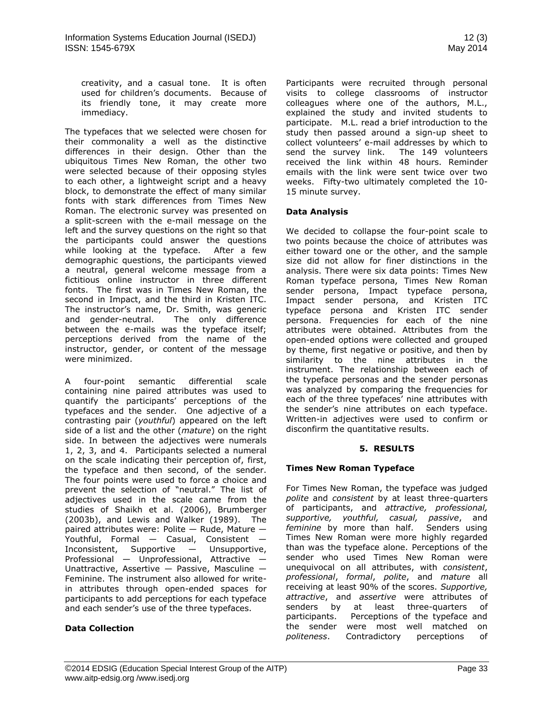creativity, and a casual tone. It is often used for children's documents. Because of its friendly tone, it may create more immediacy.

The typefaces that we selected were chosen for their commonality a well as the distinctive differences in their design. Other than the ubiquitous Times New Roman, the other two were selected because of their opposing styles to each other, a lightweight script and a heavy block, to demonstrate the effect of many similar fonts with stark differences from Times New Roman. The electronic survey was presented on a split-screen with the e-mail message on the left and the survey questions on the right so that the participants could answer the questions while looking at the typeface. After a few demographic questions, the participants viewed a neutral, general welcome message from a fictitious online instructor in three different fonts. The first was in Times New Roman, the second in Impact, and the third in Kristen ITC. The instructor's name, Dr. Smith, was generic and gender-neutral. The only difference between the e-mails was the typeface itself; perceptions derived from the name of the instructor, gender, or content of the message were minimized.

A four-point semantic differential scale containing nine paired attributes was used to quantify the participants' perceptions of the typefaces and the sender. One adjective of a contrasting pair (*youthful*) appeared on the left side of a list and the other (*mature*) on the right side. In between the adjectives were numerals 1, 2, 3, and 4. Participants selected a numeral on the scale indicating their perception of, first, the typeface and then second, of the sender. The four points were used to force a choice and prevent the selection of "neutral." The list of adjectives used in the scale came from the studies of Shaikh et al. (2006), Brumberger (2003b), and Lewis and Walker (1989). The paired attributes were: Polite — Rude, Mature — Youthful, Formal — Casual, Consistent — Inconsistent, Supportive — Unsupportive, Professional — Unprofessional, Attractive — Unattractive, Assertive — Passive, Masculine — Feminine. The instrument also allowed for writein attributes through open-ended spaces for participants to add perceptions for each typeface and each sender's use of the three typefaces.

# **Data Collection**

Participants were recruited through personal visits to college classrooms of instructor colleagues where one of the authors, M.L., explained the study and invited students to participate. M.L. read a brief introduction to the study then passed around a sign-up sheet to collect volunteers' e-mail addresses by which to send the survey link. The 149 volunteers received the link within 48 hours. Reminder emails with the link were sent twice over two weeks. Fifty-two ultimately completed the 10- 15 minute survey.

# **Data Analysis**

We decided to collapse the four-point scale to two points because the choice of attributes was either toward one or the other, and the sample size did not allow for finer distinctions in the analysis. There were six data points: Times New Roman typeface persona, Times New Roman sender persona, Impact typeface persona, Impact sender persona, and Kristen ITC typeface persona and Kristen ITC sender persona. Frequencies for each of the nine attributes were obtained. Attributes from the open-ended options were collected and grouped by theme, first negative or positive, and then by similarity to the nine attributes in the instrument. The relationship between each of the typeface personas and the sender personas was analyzed by comparing the frequencies for each of the three typefaces' nine attributes with the sender's nine attributes on each typeface. Written-in adjectives were used to confirm or disconfirm the quantitative results.

#### **5. RESULTS**

# **Times New Roman Typeface**

For Times New Roman, the typeface was judged *polite* and *consistent* by at least three-quarters of participants, and *attractive, professional, supportive, youthful, casual, passive*, and *feminine* by more than half. Senders using Times New Roman were more highly regarded than was the typeface alone. Perceptions of the sender who used Times New Roman were unequivocal on all attributes, with *consistent*, *professional*, *formal*, *polite*, and *mature* all receiving at least 90% of the scores. *Supportive, attractive*, and *assertive* were attributes of senders by at least three-quarters of participants. Perceptions of the typeface and the sender were most well matched on *politeness*. Contradictory perceptions of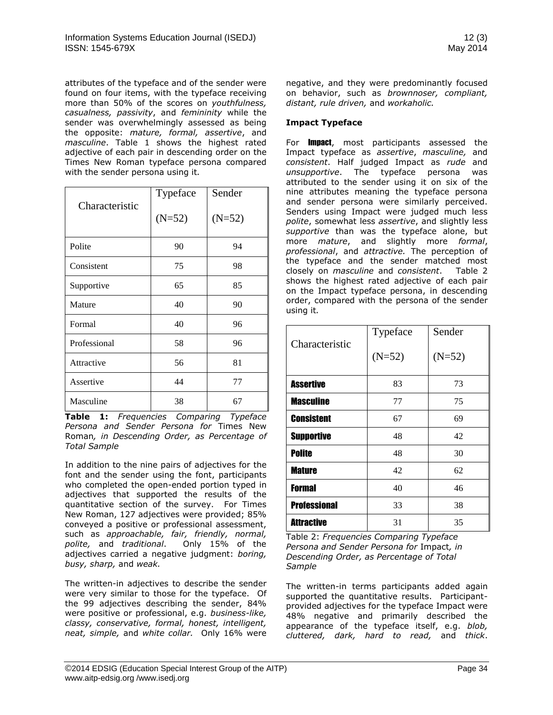attributes of the typeface and of the sender were found on four items, with the typeface receiving more than 50% of the scores on *youthfulness, casualness, passivity*, and *femininity* while the sender was overwhelmingly assessed as being the opposite: *mature, formal, assertive*, and *masculine*. Table 1 shows the highest rated adjective of each pair in descending order on the Times New Roman typeface persona compared with the sender persona using it*.*

| Characteristic | Typeface | Sender   |
|----------------|----------|----------|
|                | $(N=52)$ | $(N=52)$ |
| Polite         | 90       | 94       |
| Consistent     | 75       | 98       |
| Supportive     | 65       | 85       |
| Mature         | 40       | 90       |
| Formal         | 40       | 96       |
| Professional   | 58       | 96       |
| Attractive     | 56       | 81       |
| Assertive      | 44       | 77       |
| Masculine      | 38       | 67       |

**Table 1:** *Frequencies Comparing Typeface Persona and Sender Persona for* Times New Roman*, in Descending Order, as Percentage of Total Sample*

In addition to the nine pairs of adjectives for the font and the sender using the font, participants who completed the open-ended portion typed in adjectives that supported the results of the quantitative section of the survey. For Times New Roman, 127 adjectives were provided; 85% conveyed a positive or professional assessment, such as *approachable, fair, friendly, normal, polite,* and *traditional*. Only 15% of the adjectives carried a negative judgment: *boring, busy, sharp,* and *weak.*

The written-in adjectives to describe the sender were very similar to those for the typeface. Of the 99 adjectives describing the sender, 84% were positive or professional, e.g. *business-like, classy, conservative, formal, honest, intelligent, neat, simple,* and *white collar.* Only 16% were negative, and they were predominantly focused on behavior, such as *brownnoser, compliant, distant, rule driven,* and *workaholic.* 

# **Impact Typeface**

For **Impact**, most participants assessed the Impact typeface as *assertive*, *masculine,* and *consistent*. Half judged Impact as *rude* and *unsupportive*. The typeface persona was attributed to the sender using it on six of the nine attributes meaning the typeface persona and sender persona were similarly perceived. Senders using Impact were judged much less *polite*, somewhat less *assertive*, and slightly less *supportive* than was the typeface alone, but more *mature*, and slightly more *formal*, *professional*, and *attractive.* The perception of the typeface and the sender matched most closely on *masculine* and *consistent*. Table 2 shows the highest rated adjective of each pair on the Impact typeface persona, in descending order, compared with the persona of the sender using it*.*

|                     | Typeface | Sender   |
|---------------------|----------|----------|
| Characteristic      | $(N=52)$ | $(N=52)$ |
| <b>Assertive</b>    | 83       | 73       |
| <b>Masculine</b>    | 77       | 75       |
| <b>Consistent</b>   | 67       | 69       |
| <b>Supportive</b>   | 48       | 42       |
| <b>Polite</b>       | 48       | 30       |
| <b>Mature</b>       | 42       | 62       |
| <b>Formal</b>       | 40       | 46       |
| <b>Professional</b> | 33       | 38       |
| <b>Attractive</b>   | 31       | 35       |

Table 2: *Frequencies Comparing Typeface Persona and Sender Persona for* Impact*, in Descending Order, as Percentage of Total Sample*

The written-in terms participants added again supported the quantitative results. Participantprovided adjectives for the typeface Impact were 48% negative and primarily described the appearance of the typeface itself, e.g. *blob, cluttered, dark, hard to read,* and *thick*.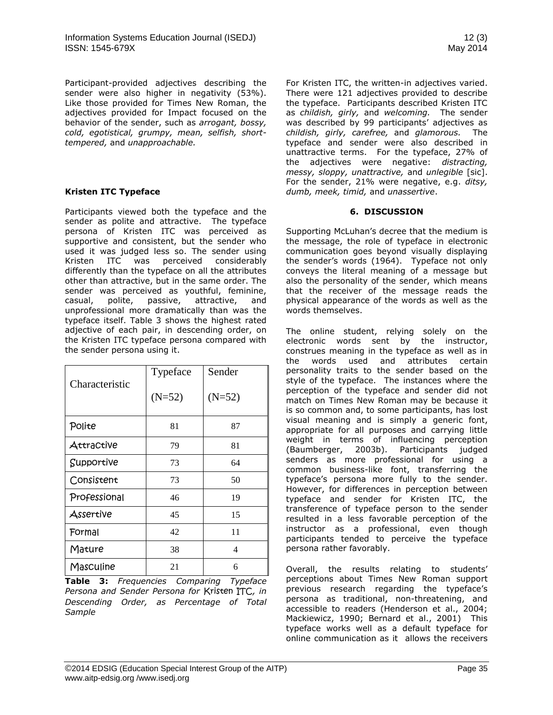Participant-provided adjectives describing the sender were also higher in negativity (53%). Like those provided for Times New Roman, the adjectives provided for Impact focused on the behavior of the sender, such as *arrogant, bossy, cold, egotistical, grumpy, mean, selfish, shorttempered,* and *unapproachable.* 

#### **Kristen ITC Typeface**

Participants viewed both the typeface and the sender as polite and attractive. The typeface persona of Kristen ITC was perceived as supportive and consistent, but the sender who used it was judged less so. The sender using Kristen ITC was perceived considerably differently than the typeface on all the attributes other than attractive, but in the same order. The sender was perceived as youthful, feminine, casual, polite, passive, attractive, and unprofessional more dramatically than was the typeface itself. Table 3 shows the highest rated adjective of each pair, in descending order, on the Kristen ITC typeface persona compared with the sender persona using it.

| Characteristic | Typeface | Sender   |
|----------------|----------|----------|
|                | $(N=52)$ | $(N=52)$ |
| Polite         | 81       | 87       |
| Attractive     | 79       | 81       |
| Supportive     | 73       | 64       |
| Consistent     | 73       | 50       |
| Professional   | 46       | 19       |
| Assertive      | 45       | 15       |
| Formal         | 42       | 11       |
| Mature         | 38       | 4        |
| Masculine      | 21       | 6        |

**Table 3:** *Frequencies Comparing Typeface Persona and Sender Persona for* Kristen ITC*, in Descending Order, as Percentage of Total Sample*

For Kristen ITC, the written-in adjectives varied. There were 121 adjectives provided to describe the typeface. Participants described Kristen ITC as *childish, girly,* and *welcoming.* The sender was described by 99 participants' adjectives as *childish, girly, carefree,* and *glamorous.* The typeface and sender were also described in unattractive terms. For the typeface, 27% of the adjectives were negative: *distracting, messy, sloppy, unattractive,* and *unlegible* [sic]. For the sender, 21% were negative, e.g. *ditsy, dumb, meek, timid,* and *unassertive*.

#### **6. DISCUSSION**

Supporting McLuhan's decree that the medium is the message, the role of typeface in electronic communication goes beyond visually displaying the sender's words (1964). Typeface not only conveys the literal meaning of a message but also the personality of the sender, which means that the receiver of the message reads the physical appearance of the words as well as the words themselves.

The online student, relying solely on the electronic words sent by the instructor, construes meaning in the typeface as well as in the words used and attributes certain personality traits to the sender based on the style of the typeface. The instances where the perception of the typeface and sender did not match on Times New Roman may be because it is so common and, to some participants, has lost visual meaning and is simply a generic font, appropriate for all purposes and carrying little weight in terms of influencing perception (Baumberger, 2003b). Participants judged senders as more professional for using a common business-like font, transferring the typeface's persona more fully to the sender. However, for differences in perception between typeface and sender for Kristen ITC, the transference of typeface person to the sender resulted in a less favorable perception of the instructor as a professional, even though participants tended to perceive the typeface persona rather favorably.

Overall, the results relating to students' perceptions about Times New Roman support previous research regarding the typeface's persona as traditional, non-threatening, and accessible to readers (Henderson et al., 2004; Mackiewicz, 1990; Bernard et al., 2001) This typeface works well as a default typeface for online communication as it allows the receivers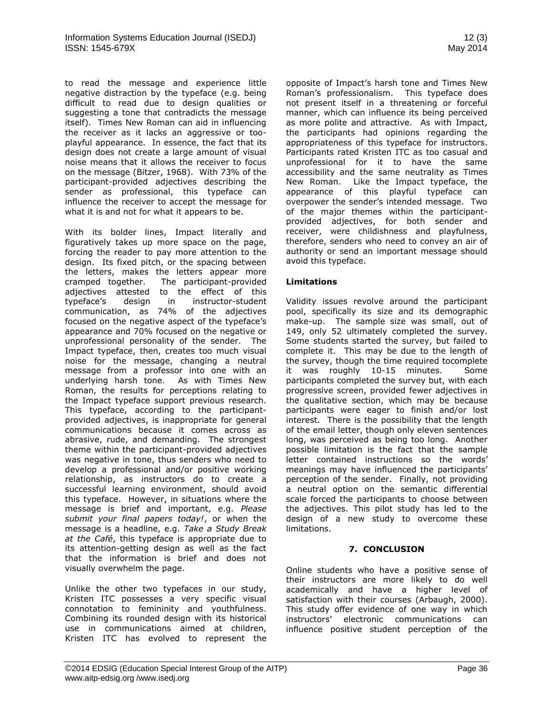to read the message and experience little negative distraction by the typeface (e.g. being difficult to read due to design qualities or suggesting a tone that contradicts the message itself). Times New Roman can aid in influencing the receiver as it lacks an aggressive or tooplayful appearance. In essence, the fact that its design does not create a large amount of visual noise means that it allows the receiver to focus on the message (Bitzer, 1968). With 73% of the participant-provided adjectives describing the sender as professional, this typeface can influence the receiver to accept the message for what it is and not for what it appears to be.

With its bolder lines, Impact literally and figuratively takes up more space on the page, forcing the reader to pay more attention to the design. Its fixed pitch, or the spacing between the letters, makes the letters appear more<br>cramped together. The participant-provided The participant-provided adjectives attested to the effect of this typeface's design in instructor-student communication, as 74% of the adjectives focused on the negative aspect of the typeface's appearance and 70% focused on the negative or unprofessional personality of the sender. The Impact typeface, then, creates too much visual noise for the message, changing a neutral message from a professor into one with an underlying harsh tone. As with Times New Roman, the results for perceptions relating to the Impact typeface support previous research. This typeface, according to the participantprovided adjectives, is inappropriate for general communications because it comes across as abrasive, rude, and demanding. The strongest theme within the participant-provided adjectives was negative in tone, thus senders who need to develop a professional and/or positive working relationship, as instructors do to create a successful learning environment, should avoid this typeface. However, in situations where the message is brief and important, e.g. *Please submit your final papers today!*, or when the message is a headline, e.g. *Take a Study Break at the Café*, this typeface is appropriate due to its attention-getting design as well as the fact that the information is brief and does not visually overwhelm the page.

Unlike the other two typefaces in our study, Kristen ITC possesses a very specific visual connotation to femininity and youthfulness. Combining its rounded design with its historical use in communications aimed at children, Kristen ITC has evolved to represent the opposite of Impact's harsh tone and Times New Roman's professionalism. This typeface does not present itself in a threatening or forceful manner, which can influence its being perceived as more polite and attractive. As with Impact, the participants had opinions regarding the appropriateness of this typeface for instructors. Participants rated Kristen ITC as too casual and unprofessional for it to have the same accessibility and the same neutrality as Times New Roman. Like the Impact typeface, the appearance of this playful typeface can overpower the sender's intended message. Two of the major themes within the participantprovided adjectives, for both sender and receiver, were childishness and playfulness, therefore, senders who need to convey an air of authority or send an important message should avoid this typeface.

#### **Limitations**

Validity issues revolve around the participant pool, specifically its size and its demographic make-up. The sample size was small, out of 149, only 52 ultimately completed the survey. Some students started the survey, but failed to complete it. This may be due to the length of the survey, though the time required tocomplete it was roughly 10-15 minutes. Some participants completed the survey but, with each progressive screen, provided fewer adjectives in the qualitative section, which may be because participants were eager to finish and/or lost interest. There is the possibility that the length of the email letter, though only eleven sentences long, was perceived as being too long. Another possible limitation is the fact that the sample letter contained instructions so the words' meanings may have influenced the participants' perception of the sender. Finally, not providing a neutral option on the semantic differential scale forced the participants to choose between the adjectives. This pilot study has led to the design of a new study to overcome these limitations.

# **7. CONCLUSION**

Online students who have a positive sense of their instructors are more likely to do well academically and have a higher level of satisfaction with their courses (Arbaugh, 2000). This study offer evidence of one way in which instructors' electronic communications can influence positive student perception of the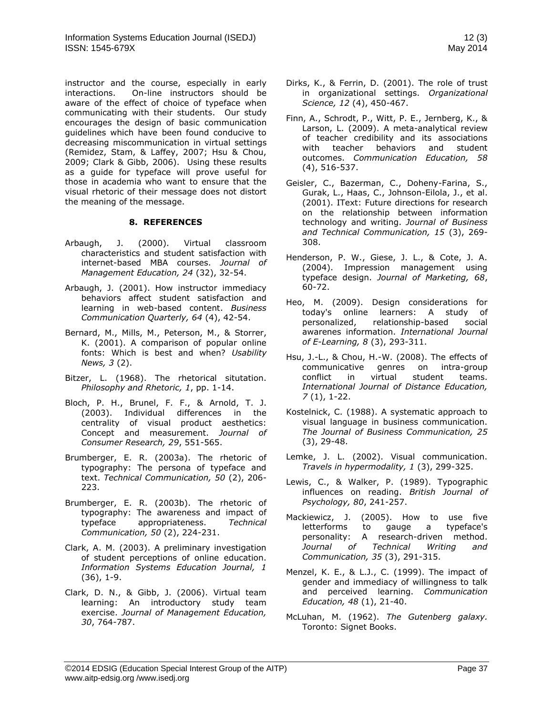instructor and the course, especially in early interactions. On-line instructors should be aware of the effect of choice of typeface when communicating with their students. Our study encourages the design of basic communication guidelines which have been found conducive to decreasing miscommunication in virtual settings (Remidez, Stam, & Laffey, 2007; Hsu & Chou, 2009; Clark & Gibb, 2006). Using these results as a guide for typeface will prove useful for those in academia who want to ensure that the visual rhetoric of their message does not distort the meaning of the message.

#### **8. REFERENCES**

- Arbaugh, J. (2000). Virtual classroom characteristics and student satisfaction with internet-based MBA courses. *Journal of Management Education, 24* (32), 32-54.
- Arbaugh, J. (2001). How instructor immediacy behaviors affect student satisfaction and learning in web-based content. *Business Communication Quarterly, 64* (4), 42-54.
- Bernard, M., Mills, M., Peterson, M., & Storrer, K. (2001). A comparison of popular online fonts: Which is best and when? *Usability News, 3* (2).
- Bitzer, L. (1968). The rhetorical situtation. *Philosophy and Rhetoric, 1*, pp. 1-14.
- Bloch, P. H., Brunel, F. F., & Arnold, T. J. (2003). Individual differences in the centrality of visual product aesthetics: Concept and measurement. *Journal of Consumer Research, 29*, 551-565.
- Brumberger, E. R. (2003a). The rhetoric of typography: The persona of typeface and text. *Technical Communication, 50* (2), 206- 223.
- Brumberger, E. R. (2003b). The rhetoric of typography: The awareness and impact of typeface appropriateness. *Technical Communication, 50* (2), 224-231.
- Clark, A. M. (2003). A preliminary investigation of student perceptions of online education. *Information Systems Education Journal, 1* (36), 1-9.
- Clark, D. N., & Gibb, J. (2006). Virtual team learning: An introductory study team exercise. *Journal of Management Education, 30*, 764-787.
- Dirks, K., & Ferrin, D. (2001). The role of trust in organizational settings. *Organizational Science, 12* (4), 450-467.
- Finn, A., Schrodt, P., Witt, P. E., Jernberg, K., & Larson, L. (2009). A meta-analytical review of teacher credibility and its associations with teacher behaviors and student outcomes. *Communication Education, 58* (4), 516-537.
- Geisler, C., Bazerman, C., Doheny-Farina, S., Gurak, L., Haas, C., Johnson-Eilola, J., et al. (2001). IText: Future directions for research on the relationship between information technology and writing. *Journal of Business and Technical Communication, 15* (3), 269- 308.
- Henderson, P. W., Giese, J. L., & Cote, J. A. (2004). Impression management using typeface design. *Journal of Marketing, 68*, 60-72.
- Heo, M. (2009). Design considerations for today's online learners: A study of personalized, relationship-based social awarenes information. *International Journal of E-Learning, 8* (3), 293-311.
- Hsu, J.-L., & Chou, H.-W. (2008). The effects of communicative genres on intra-group conflict in virtual student teams. *International Journal of Distance Education, 7* (1), 1-22.
- Kostelnick, C. (1988). A systematic approach to visual language in business communication. *The Journal of Business Communication, 25* (3), 29-48.
- Lemke, J. L. (2002). Visual communication. *Travels in hypermodality, 1* (3), 299-325.
- Lewis, C., & Walker, P. (1989). Typographic influences on reading. *British Journal of Psychology, 80*, 241-257.
- Mackiewicz, J. (2005). How to use five letterforms to gauge a typeface's personality: A research-driven method. *Journal of Technical Writing and Communication, 35* (3), 291-315.
- Menzel, K. E., & L.J., C. (1999). The impact of gender and immediacy of willingness to talk and perceived learning. *Communication Education, 48* (1), 21-40.
- McLuhan, M. (1962). *The Gutenberg galaxy.* Toronto: Signet Books.